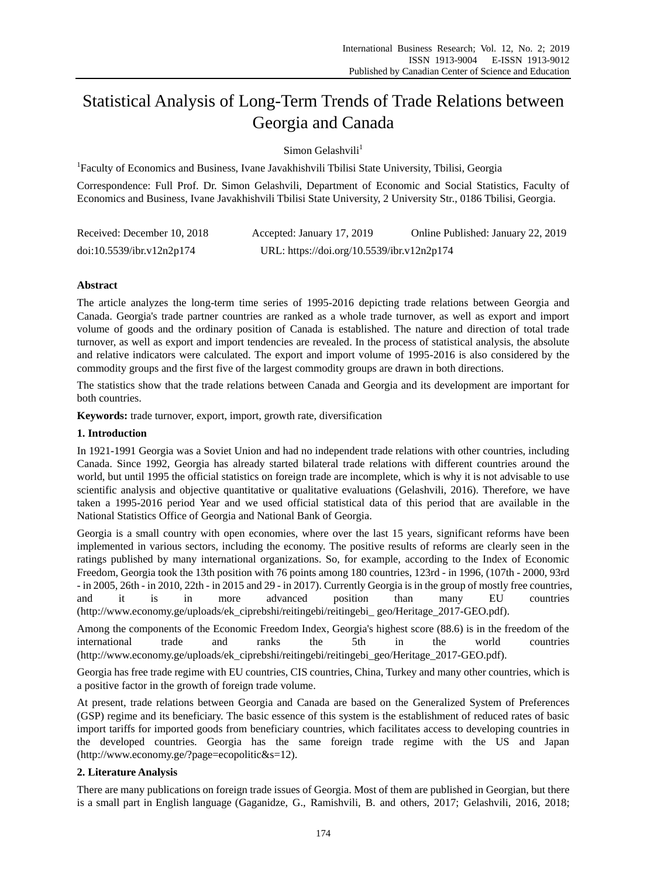# Statistical Analysis of Long-Term Trends of Trade Relations between Georgia and Canada

 $S<sub>i</sub>$ mon Gelashvili<sup>1</sup>

<sup>1</sup>Faculty of Economics and Business, Ivane Javakhishvili Tbilisi State University, Tbilisi, Georgia

Correspondence: Full Prof. Dr. Simon Gelashvili, Department of Economic and Social Statistics, Faculty of Economics and Business, Ivane Javakhishvili Tbilisi State University, 2 University Str., 0186 Tbilisi, Georgia.

| Received: December 10, 2018 | Accepted: January 17, 2019                 | Online Published: January 22, 2019 |
|-----------------------------|--------------------------------------------|------------------------------------|
| doi:10.5539/ibr.v12n2p174   | URL: https://doi.org/10.5539/ibr.v12n2p174 |                                    |

# **Abstract**

The article analyzes the long-term time series of 1995-2016 depicting trade relations between Georgia and Canada. Georgia's trade partner countries are ranked as a whole trade turnover, as well as export and import volume of goods and the ordinary position of Canada is established. The nature and direction of total trade turnover, as well as export and import tendencies are revealed. In the process of statistical analysis, the absolute and relative indicators were calculated. The export and import volume of 1995-2016 is also considered by the commodity groups and the first five of the largest commodity groups are drawn in both directions.

The statistics show that the trade relations between Canada and Georgia and its development are important for both countries.

**Keywords:** trade turnover, export, import, growth rate, diversification

## **1. Introduction**

In 1921-1991 Georgia was a Soviet Union and had no independent trade relations with other countries, including Canada. Since 1992, Georgia has already started bilateral trade relations with different countries around the world, but until 1995 the official statistics on foreign trade are incomplete, which is why it is not advisable to use scientific analysis and objective quantitative or qualitative evaluations (Gelashvili, 2016). Therefore, we have taken a 1995-2016 period Year and we used official statistical data of this period that are available in the National Statistics Office of Georgia and National Bank of Georgia.

Georgia is a small country with open economies, where over the last 15 years, significant reforms have been implemented in various sectors, including the economy. The positive results of reforms are clearly seen in the ratings published by many international organizations. So, for example, according to the Index of Economic Freedom, Georgia took the 13th position with 76 points among 180 countries, 123rd - in 1996, (107th - 2000, 93rd - in 2005, 26th - in 2010, 22th - in 2015 and 29 - in 2017). Currently Georgia is in the group of mostly free countries, and it is in more advanced position than many EU countries (http://www.economy.ge/uploads/ek\_ciprebshi/reitingebi/reitingebi\_ geo/Heritage\_2017-GEO.pdf).

Among the components of the Economic Freedom Index, Georgia's highest score (88.6) is in the freedom of the international trade and ranks the 5th in the world countries (http://www.economy.ge/uploads/ek\_ciprebshi/reitingebi/reitingebi\_geo/Heritage\_2017-GEO.pdf).

Georgia has free trade regime with EU countries, CIS countries, China, Turkey and many other countries, which is a positive factor in the growth of foreign trade volume.

At present, trade relations between Georgia and Canada are based on the Generalized System of Preferences (GSP) regime and its beneficiary. The basic essence of this system is the establishment of reduced rates of basic import tariffs for imported goods from beneficiary countries, which facilitates access to developing countries in the developed countries. Georgia has the same foreign trade regime with the US and Japan (http://www.economy.ge/?page=ecopolitic&s=12).

# **2. Literature Analysis**

There are many publications on foreign trade issues of Georgia. Most of them are published in Georgian, but there is a small part in English language (Gaganidze, G., Ramishvili, B. and others, 2017; Gelashvili, 2016, 2018;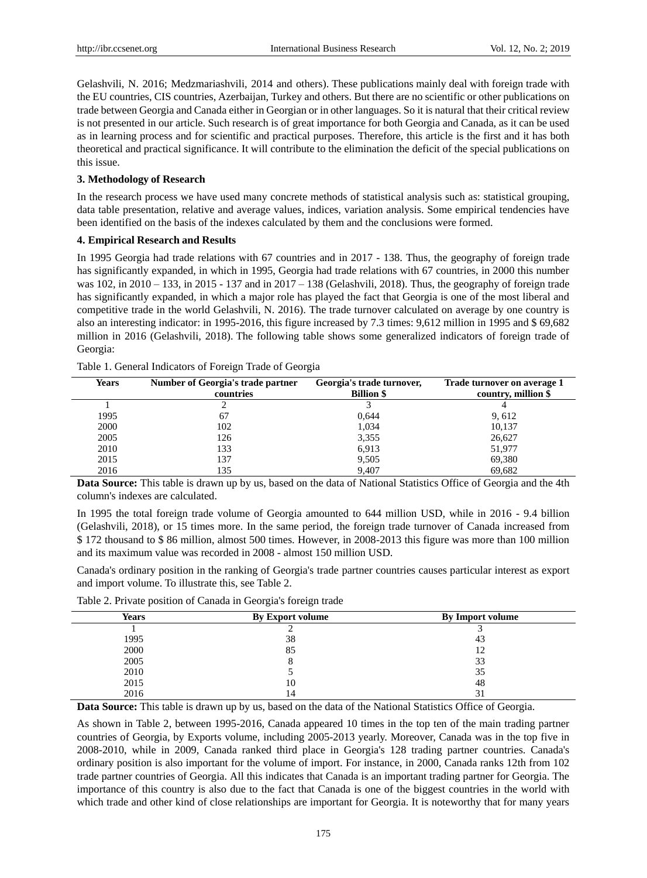Gelashvili, N. 2016; Medzmariashvili, 2014 and others). These publications mainly deal with foreign trade with the EU countries, CIS countries, Azerbaijan, Turkey and others. But there are no scientific or other publications on trade between Georgia and Canada either in Georgian or in other languages. So it is natural that their critical review is not presented in our article. Such research is of great importance for both Georgia and Canada, as it can be used as in learning process and for scientific and practical purposes. Therefore, this article is the first and it has both theoretical and practical significance. It will contribute to the elimination the deficit of the special publications on this issue.

#### **3. Methodology of Research**

In the research process we have used many concrete methods of statistical analysis such as: statistical grouping, data table presentation, relative and average values, indices, variation analysis. Some empirical tendencies have been identified on the basis of the indexes calculated by them and the conclusions were formed.

## **4. Empirical Research and Results**

In 1995 Georgia had trade relations with 67 countries and in 2017 - 138. Thus, the geography of foreign trade has significantly expanded, in which in 1995, Georgia had trade relations with 67 countries, in 2000 this number was 102, in 2010 – 133, in 2015 - 137 and in 2017 – 138 (Gelashvili, 2018). Thus, the geography of foreign trade has significantly expanded, in which a major role has played the fact that Georgia is one of the most liberal and competitive trade in the world Gelashvili, N. 2016). The trade turnover calculated on average by one country is also an interesting indicator: in 1995-2016, this figure increased by 7.3 times: 9,612 million in 1995 and \$ 69,682 million in 2016 (Gelashvili, 2018). The following table shows some generalized indicators of foreign trade of Georgia:

| <b>Years</b> | Number of Georgia's trade partner | Georgia's trade turnover, | Trade turnover on average 1 |  |
|--------------|-----------------------------------|---------------------------|-----------------------------|--|
|              | countries                         | <b>Billion \$</b>         | country, million \$         |  |
|              |                                   |                           |                             |  |
| 1995         | 67                                | 0.644                     | 9,612                       |  |
| 2000         | 102                               | 1,034                     | 10,137                      |  |
| 2005         | 126                               | 3,355                     | 26,627                      |  |
| 2010         | 133                               | 6,913                     | 51,977                      |  |
| 2015         | 137                               | 9,505                     | 69,380                      |  |
| 2016         | 135                               | 9.407                     | 69.682                      |  |

Table 1. General Indicators of Foreign Trade of Georgia

**Data Source:** This table is drawn up by us, based on the data of National Statistics Office of Georgia and the 4th column's indexes are calculated.

In 1995 the total foreign trade volume of Georgia amounted to 644 million USD, while in 2016 - 9.4 billion (Gelashvili, 2018), or 15 times more. In the same period, the foreign trade turnover of Canada increased from \$ 172 thousand to \$ 86 million, almost 500 times. However, in 2008-2013 this figure was more than 100 million and its maximum value was recorded in 2008 - almost 150 million USD.

Canada's ordinary position in the ranking of Georgia's trade partner countries causes particular interest as export and import volume. To illustrate this, see Table 2.

Table 2. Private position of Canada in Georgia's foreign trade

| <b>Years</b> | By Export volume | By Import volume    |  |
|--------------|------------------|---------------------|--|
|              |                  |                     |  |
| 1995         | 38               | 43                  |  |
| 2000         | 85               | 12                  |  |
| 2005         |                  | 33                  |  |
| 2010         |                  | 35                  |  |
| 2015         | 10               | 48                  |  |
| 2016         | 14               | ⌒<br>$\mathfrak{I}$ |  |
|              |                  |                     |  |

**Data Source:** This table is drawn up by us, based on the data of the National Statistics Office of Georgia.

As shown in Table 2, between 1995-2016, Canada appeared 10 times in the top ten of the main trading partner countries of Georgia, by Exports volume, including 2005-2013 yearly. Moreover, Canada was in the top five in 2008-2010, while in 2009, Canada ranked third place in Georgia's 128 trading partner countries. Canada's ordinary position is also important for the volume of import. For instance, in 2000, Canada ranks 12th from 102 trade partner countries of Georgia. All this indicates that Canada is an important trading partner for Georgia. The importance of this country is also due to the fact that Canada is one of the biggest countries in the world with which trade and other kind of close relationships are important for Georgia. It is noteworthy that for many years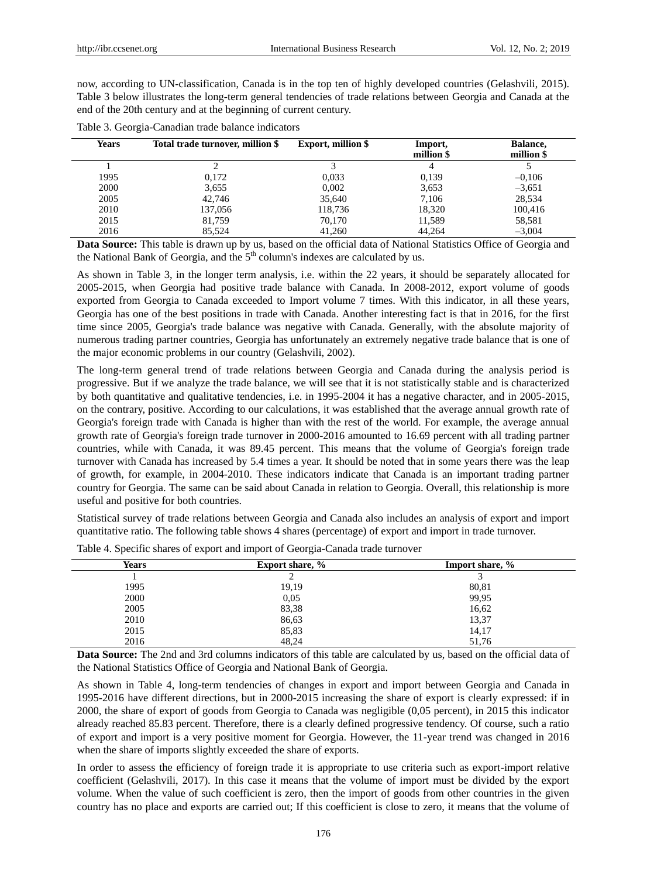now, according to UN-classification, Canada is in the top ten of highly developed countries (Gelashvili, 2015). Table 3 below illustrates the long-term general tendencies of trade relations between Georgia and Canada at the end of the 20th century and at the beginning of current century.

| Years | Total trade turnover, million \$ | <b>Export, million \$</b> | Import,<br>million \$ | Balance,<br>million \$ |
|-------|----------------------------------|---------------------------|-----------------------|------------------------|
|       |                                  |                           |                       |                        |
| 1995  | 0.172                            | 0.033                     | 0,139                 | $-0.106$               |
| 2000  | 3,655                            | 0,002                     | 3,653                 | $-3,651$               |
| 2005  | 42,746                           | 35,640                    | 7.106                 | 28,534                 |
| 2010  | 137,056                          | 118.736                   | 18.320                | 100,416                |
| 2015  | 81.759                           | 70.170                    | 11,589                | 58,581                 |
| 2016  | 85.524                           | 41,260                    | 44,264                | $-3,004$               |

Table 3. Georgia-Canadian trade balance indicators

**Data Source:** This table is drawn up by us, based on the official data of National Statistics Office of Georgia and the National Bank of Georgia, and the  $5<sup>th</sup>$  column's indexes are calculated by us.

As shown in Table 3, in the longer term analysis, i.e. within the 22 years, it should be separately allocated for 2005-2015, when Georgia had positive trade balance with Canada. In 2008-2012, export volume of goods exported from Georgia to Canada exceeded to Import volume 7 times. With this indicator, in all these years, Georgia has one of the best positions in trade with Canada. Another interesting fact is that in 2016, for the first time since 2005, Georgia's trade balance was negative with Canada. Generally, with the absolute majority of numerous trading partner countries, Georgia has unfortunately an extremely negative trade balance that is one of the major economic problems in our country (Gelashvili, 2002).

The long-term general trend of trade relations between Georgia and Canada during the analysis period is progressive. But if we analyze the trade balance, we will see that it is not statistically stable and is characterized by both quantitative and qualitative tendencies, i.e. in 1995-2004 it has a negative character, and in 2005-2015, on the contrary, positive. According to our calculations, it was established that the average annual growth rate of Georgia's foreign trade with Canada is higher than with the rest of the world. For example, the average annual growth rate of Georgia's foreign trade turnover in 2000-2016 amounted to 16.69 percent with all trading partner countries, while with Canada, it was 89.45 percent. This means that the volume of Georgia's foreign trade turnover with Canada has increased by 5.4 times a year. It should be noted that in some years there was the leap of growth, for example, in 2004-2010. These indicators indicate that Canada is an important trading partner country for Georgia. The same can be said about Canada in relation to Georgia. Overall, this relationship is more useful and positive for both countries.

Statistical survey of trade relations between Georgia and Canada also includes an analysis of export and import quantitative ratio. The following table shows 4 shares (percentage) of export and import in trade turnover.

| <b>Years</b> | Export share, % | Import share, % |  |
|--------------|-----------------|-----------------|--|
|              | ◠<br>∠          |                 |  |
| 1995         | 19,19           | 80,81           |  |
| 2000         | 0,05            | 99,95           |  |
| 2005         | 83,38           | 16,62           |  |
| 2010         | 86,63           | 13,37           |  |
| 2015         | 85,83           | 14,17           |  |
| 2016         | 48,24           | 51,76           |  |

Table 4. Specific shares of export and import of Georgia-Canada trade turnover

**Data Source:** The 2nd and 3rd columns indicators of this table are calculated by us, based on the official data of the National Statistics Office of Georgia and National Bank of Georgia.

As shown in Table 4, long-term tendencies of changes in export and import between Georgia and Canada in 1995-2016 have different directions, but in 2000-2015 increasing the share of export is clearly expressed: if in 2000, the share of export of goods from Georgia to Canada was negligible (0,05 percent), in 2015 this indicator already reached 85.83 percent. Therefore, there is a clearly defined progressive tendency. Of course, such a ratio of export and import is a very positive moment for Georgia. However, the 11-year trend was changed in 2016 when the share of imports slightly exceeded the share of exports.

In order to assess the efficiency of foreign trade it is appropriate to use criteria such as export-import relative coefficient (Gelashvili, 2017). In this case it means that the volume of import must be divided by the export volume. When the value of such coefficient is zero, then the import of goods from other countries in the given country has no place and exports are carried out; If this coefficient is close to zero, it means that the volume of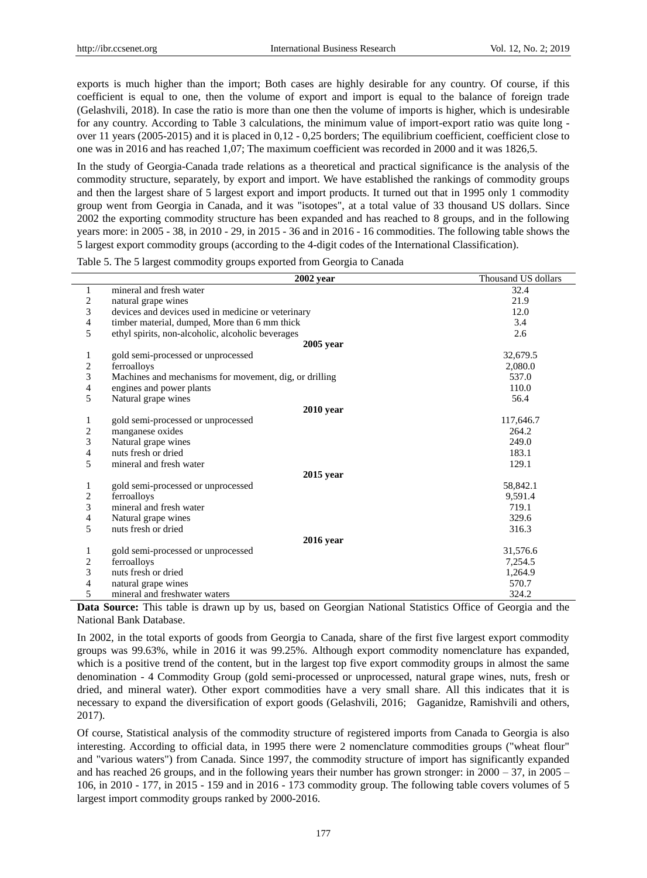exports is much higher than the import; Both cases are highly desirable for any country. Of course, if this coefficient is equal to one, then the volume of export and import is equal to the balance of foreign trade (Gelashvili, 2018). In case the ratio is more than one then the volume of imports is higher, which is undesirable for any country. According to Table 3 calculations, the minimum value of import-export ratio was quite long over 11 years (2005-2015) and it is placed in 0,12 - 0,25 borders; The equilibrium coefficient, coefficient close to one was in 2016 and has reached 1,07; The maximum coefficient was recorded in 2000 and it was 1826,5.

In the study of Georgia-Canada trade relations as a theoretical and practical significance is the analysis of the commodity structure, separately, by export and import. We have established the rankings of commodity groups and then the largest share of 5 largest export and import products. It turned out that in 1995 only 1 commodity group went from Georgia in Canada, and it was "isotopes", at a total value of 33 thousand US dollars. Since 2002 the exporting commodity structure has been expanded and has reached to 8 groups, and in the following years more: in 2005 - 38, in 2010 - 29, in 2015 - 36 and in 2016 - 16 commodities. The following table shows the 5 largest export commodity groups (according to the 4-digit codes of the International Classification).

Table 5. The 5 largest commodity groups exported from Georgia to Canada

|   | $2002$ vear                                            | Thousand US dollars |
|---|--------------------------------------------------------|---------------------|
| 1 | mineral and fresh water                                | 32.4                |
| 2 | natural grape wines                                    | 21.9                |
| 3 | devices and devices used in medicine or veterinary     | 12.0                |
| 4 | timber material, dumped, More than 6 mm thick          | 3.4                 |
| 5 | ethyl spirits, non-alcoholic, alcoholic beverages      | 2.6                 |
|   | $2005$ year                                            |                     |
|   | gold semi-processed or unprocessed                     | 32,679.5            |
| 2 | ferroalloys                                            | 2.080.0             |
| 3 | Machines and mechanisms for movement, dig, or drilling | 537.0               |
| 4 | engines and power plants                               | 110.0               |
| 5 | Natural grape wines                                    | 56.4                |
|   | $2010$ year                                            |                     |
| 1 | gold semi-processed or unprocessed                     | 117,646.7           |
| 2 | manganese oxides                                       | 264.2               |
| 3 | Natural grape wines                                    | 249.0               |
| 4 | nuts fresh or dried                                    | 183.1               |
| 5 | mineral and fresh water                                | 129.1               |
|   | 2015 year                                              |                     |
| 1 | gold semi-processed or unprocessed                     | 58,842.1            |
| 2 | ferroalloys                                            | 9,591.4             |
| 3 | mineral and fresh water                                | 719.1               |
| 4 | Natural grape wines                                    | 329.6               |
| 5 | nuts fresh or dried                                    | 316.3               |
|   | $2016$ year                                            |                     |
| 1 | gold semi-processed or unprocessed                     | 31,576.6            |
| 2 | ferroalloys                                            | 7,254.5             |
| 3 | nuts fresh or dried                                    | 1,264.9             |
| 4 | natural grape wines                                    | 570.7               |
| 5 | mineral and freshwater waters                          | 324.2               |

**Data Source:** This table is drawn up by us, based on Georgian National Statistics Office of Georgia and the National Bank Database.

In 2002, in the total exports of goods from Georgia to Canada, share of the first five largest export commodity groups was 99.63%, while in 2016 it was 99.25%. Although export commodity nomenclature has expanded, which is a positive trend of the content, but in the largest top five export commodity groups in almost the same denomination - 4 Commodity Group (gold semi-processed or unprocessed, natural grape wines, nuts, fresh or dried, and mineral water). Other export commodities have a very small share. All this indicates that it is necessary to expand the diversification of export goods (Gelashvili, 2016; Gaganidze, Ramishvili and others, 2017).

Of course, Statistical analysis of the commodity structure of registered imports from Canada to Georgia is also interesting. According to official data, in 1995 there were 2 nomenclature commodities groups ("wheat flour" and "various waters") from Canada. Since 1997, the commodity structure of import has significantly expanded and has reached 26 groups, and in the following years their number has grown stronger: in 2000 – 37, in 2005 – 106, in 2010 - 177, in 2015 - 159 and in 2016 - 173 commodity group. The following table covers volumes of 5 largest import commodity groups ranked by 2000-2016.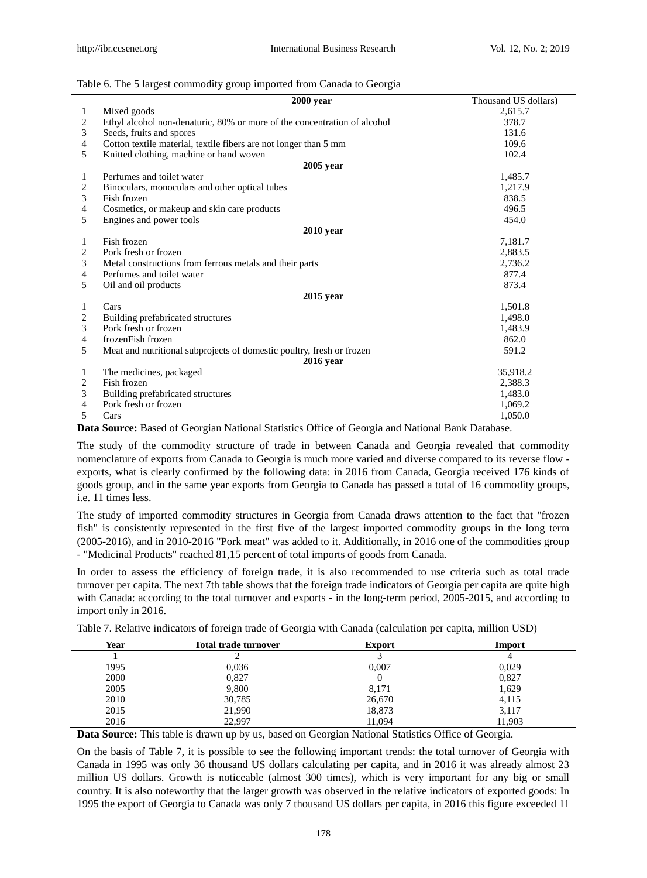|  |  | Table 6. The 5 largest commodity group imported from Canada to Georgia |
|--|--|------------------------------------------------------------------------|
|  |  |                                                                        |

|              | $2000$ year                                                              | Thousand US dollars) |
|--------------|--------------------------------------------------------------------------|----------------------|
| $\mathbf{1}$ | Mixed goods                                                              | 2,615.7              |
| 2            | Ethyl alcohol non-denaturic, 80% or more of the concentration of alcohol | 378.7                |
| 3            | Seeds, fruits and spores                                                 | 131.6                |
| 4            | Cotton textile material, textile fibers are not longer than 5 mm         | 109.6                |
| 5            | Knitted clothing, machine or hand woven                                  | 102.4                |
|              | $2005$ year                                                              |                      |
| 1            | Perfumes and toilet water                                                | 1,485.7              |
| 2            | Binoculars, monoculars and other optical tubes                           | 1,217.9              |
| 3            | Fish frozen                                                              | 838.5                |
| 4            | Cosmetics, or makeup and skin care products                              | 496.5                |
| 5            | Engines and power tools                                                  | 454.0                |
|              | $2010$ year                                                              |                      |
| 1            | Fish frozen                                                              | 7,181.7              |
| 2            | Pork fresh or frozen                                                     | 2,883.5              |
| 3            | Metal constructions from ferrous metals and their parts                  | 2,736.2              |
| 4            | Perfumes and toilet water                                                | 877.4                |
| 5            | Oil and oil products                                                     | 873.4                |
|              | $2015$ year                                                              |                      |
| 1            | Cars                                                                     | 1,501.8              |
| 2            | Building prefabricated structures                                        | 1,498.0              |
| 3            | Pork fresh or frozen                                                     | 1,483.9              |
| 4            | frozenFish frozen                                                        | 862.0                |
| 5            | Meat and nutritional subprojects of domestic poultry, fresh or frozen    | 591.2                |
|              | <b>2016</b> year                                                         |                      |
| 1            | The medicines, packaged                                                  | 35,918.2             |
| 2            | Fish frozen                                                              | 2,388.3              |
| 3            | Building prefabricated structures                                        | 1,483.0              |
| 4            | Pork fresh or frozen                                                     | 1,069.2              |
| 5            | Cars                                                                     | 1,050.0              |

**Data Source:** Based of Georgian National Statistics Office of Georgia and National Bank Database.

The study of the commodity structure of trade in between Canada and Georgia revealed that commodity nomenclature of exports from Canada to Georgia is much more varied and diverse compared to its reverse flow exports, what is clearly confirmed by the following data: in 2016 from Canada, Georgia received 176 kinds of goods group, and in the same year exports from Georgia to Canada has passed a total of 16 commodity groups, i.e. 11 times less.

The study of imported commodity structures in Georgia from Canada draws attention to the fact that "frozen fish" is consistently represented in the first five of the largest imported commodity groups in the long term (2005-2016), and in 2010-2016 "Pork meat" was added to it. Additionally, in 2016 one of the commodities group - "Medicinal Products" reached 81,15 percent of total imports of goods from Canada.

In order to assess the efficiency of foreign trade, it is also recommended to use criteria such as total trade turnover per capita. The next 7th table shows that the foreign trade indicators of Georgia per capita are quite high with Canada: according to the total turnover and exports - in the long-term period, 2005-2015, and according to import only in 2016.

| Table 7. Relative indicators of foreign trade of Georgia with Canada (calculation per capita, million USD) |  |  |  |
|------------------------------------------------------------------------------------------------------------|--|--|--|
|                                                                                                            |  |  |  |

| Year | <b>Total trade turnover</b> | <b>Export</b> | Import |
|------|-----------------------------|---------------|--------|
|      |                             |               |        |
| 1995 | 0,036                       | 0,007         | 0,029  |
| 2000 | 0,827                       |               | 0,827  |
| 2005 | 9,800                       | 8,171         | 1,629  |
| 2010 | 30,785                      | 26,670        | 4,115  |
| 2015 | 21,990                      | 18,873        | 3,117  |
| 2016 | 22,997                      | 11,094        | 11,903 |

**Data Source:** This table is drawn up by us, based on Georgian National Statistics Office of Georgia.

On the basis of Table 7, it is possible to see the following important trends: the total turnover of Georgia with Canada in 1995 was only 36 thousand US dollars calculating per capita, and in 2016 it was already almost 23 million US dollars. Growth is noticeable (almost 300 times), which is very important for any big or small country. It is also noteworthy that the larger growth was observed in the relative indicators of exported goods: In 1995 the export of Georgia to Canada was only 7 thousand US dollars per capita, in 2016 this figure exceeded 11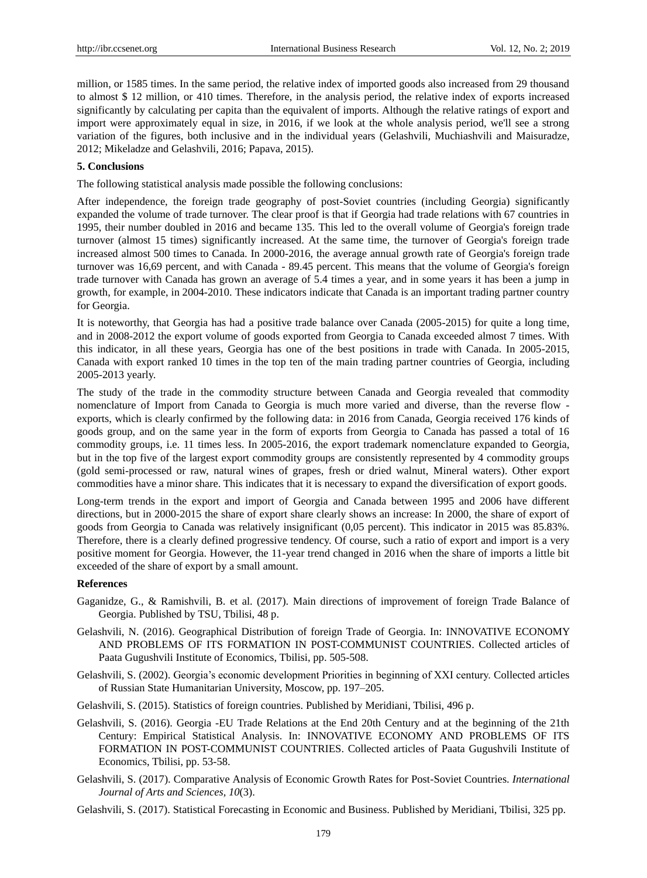million, or 1585 times. In the same period, the relative index of imported goods also increased from 29 thousand to almost \$ 12 million, or 410 times. Therefore, in the analysis period, the relative index of exports increased significantly by calculating per capita than the equivalent of imports. Although the relative ratings of export and import were approximately equal in size, in 2016, if we look at the whole analysis period, we'll see a strong variation of the figures, both inclusive and in the individual years (Gelashvili, Muchiashvili and Maisuradze, 2012; Mikeladze and Gelashvili, 2016; Papava, 2015).

## **5. Conclusions**

The following statistical analysis made possible the following conclusions:

After independence, the foreign trade geography of post-Soviet countries (including Georgia) significantly expanded the volume of trade turnover. The clear proof is that if Georgia had trade relations with 67 countries in 1995, their number doubled in 2016 and became 135. This led to the overall volume of Georgia's foreign trade turnover (almost 15 times) significantly increased. At the same time, the turnover of Georgia's foreign trade increased almost 500 times to Canada. In 2000-2016, the average annual growth rate of Georgia's foreign trade turnover was 16,69 percent, and with Canada - 89.45 percent. This means that the volume of Georgia's foreign trade turnover with Canada has grown an average of 5.4 times a year, and in some years it has been a jump in growth, for example, in 2004-2010. These indicators indicate that Canada is an important trading partner country for Georgia.

It is noteworthy, that Georgia has had a positive trade balance over Canada (2005-2015) for quite a long time, and in 2008-2012 the export volume of goods exported from Georgia to Canada exceeded almost 7 times. With this indicator, in all these years, Georgia has one of the best positions in trade with Canada. In 2005-2015, Canada with export ranked 10 times in the top ten of the main trading partner countries of Georgia, including 2005-2013 yearly.

The study of the trade in the commodity structure between Canada and Georgia revealed that commodity nomenclature of Import from Canada to Georgia is much more varied and diverse, than the reverse flow exports, which is clearly confirmed by the following data: in 2016 from Canada, Georgia received 176 kinds of goods group, and on the same year in the form of exports from Georgia to Canada has passed a total of 16 commodity groups, i.e. 11 times less. In 2005-2016, the export trademark nomenclature expanded to Georgia, but in the top five of the largest export commodity groups are consistently represented by 4 commodity groups (gold semi-processed or raw, natural wines of grapes, fresh or dried walnut, Mineral waters). Other export commodities have a minor share. This indicates that it is necessary to expand the diversification of export goods.

Long-term trends in the export and import of Georgia and Canada between 1995 and 2006 have different directions, but in 2000-2015 the share of export share clearly shows an increase: In 2000, the share of export of goods from Georgia to Canada was relatively insignificant (0,05 percent). This indicator in 2015 was 85.83%. Therefore, there is a clearly defined progressive tendency. Of course, such a ratio of export and import is a very positive moment for Georgia. However, the 11-year trend changed in 2016 when the share of imports a little bit exceeded of the share of export by a small amount.

#### **References**

- Gaganidze, G., & Ramishvili, B. et al. (2017). Main directions of improvement of foreign Trade Balance of Georgia. Published by TSU, Tbilisi, 48 p.
- Gelashvili, N. (2016). Geographical Distribution of foreign Trade of Georgia. In: INNOVATIVE ECONOMY AND PROBLEMS OF ITS FORMATION IN POST-COMMUNIST COUNTRIES. Collected articles of Paata Gugushvili Institute of Economics, Tbilisi, pp. 505-508.
- Gelashvili, S. (2002). Georgia's economic development Priorities in beginning of XXI century. Collected articles of Russian State Humanitarian University, Moscow, pp. 197–205.
- Gelashvili, S. (2015). Statistics of foreign countries. Published by Meridiani, Tbilisi, 496 p.
- Gelashvili, S. (2016). Georgia -EU Trade Relations at the End 20th Century and at the beginning of the 21th Century: Empirical Statistical Analysis. In: INNOVATIVE ECONOMY AND PROBLEMS OF ITS FORMATION IN POST-COMMUNIST COUNTRIES. Collected articles of Paata Gugushvili Institute of Economics, Tbilisi, pp. 53-58.
- Gelashvili, S. (2017). Comparative Analysis of Economic Growth Rates for Post-Soviet Countries. *International Journal of Arts and Sciences, 10*(3).
- Gelashvili, S. (2017). Statistical Forecasting in Economic and Business. Published by Meridiani, Tbilisi, 325 pp.